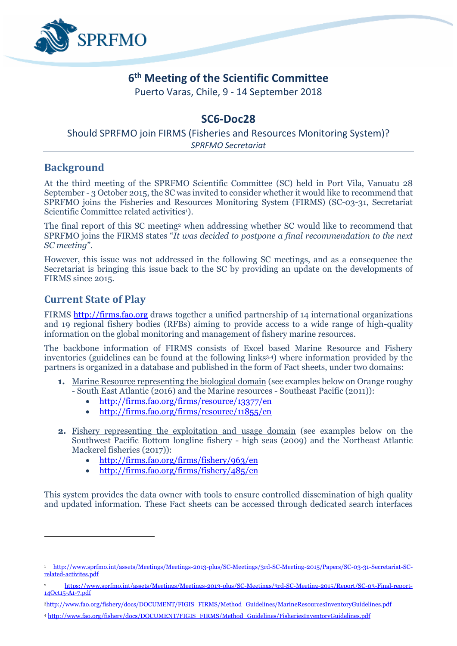

# **6 th Meeting of the Scientific Committee**

Puerto Varas, Chile, 9 - 14 September 2018

## **SC6-Doc28**

#### Should SPRFMO join FIRMS (Fisheries and Resources Monitoring System)? *SPRFMO Secretariat*

## **Background**

At the third meeting of the SPRFMO Scientific Committee (SC) held in Port Vila, Vanuatu 28 September - 3 October 2015, the SC was invited to consider whether it would like to recommend that SPRFMO joins the Fisheries and Resources Monitoring System (FIRMS) (SC-03-31, Secretariat Scientific Committee related activities<sup>1</sup>).

The final report of this SC meeting<sup>2</sup> when addressing whether SC would like to recommend that SPRFMO joins the FIRMS states "*It was decided to postpone a final recommendation to the next SC meeting*".

However, this issue was not addressed in the following SC meetings, and as a consequence the Secretariat is bringing this issue back to the SC by providing an update on the developments of FIRMS since 2015.

## **Current State of Play**

 $\overline{a}$ 

FIRMS [http://firms.fao.org](http://firms.fao.org/) draws together a unified partnership of 14 international organizations and 19 regional fishery bodies (RFBs) aiming to provide access to a wide range of high-quality information on the global monitoring and management of fishery marine resources.

The backbone information of FIRMS consists of Excel based Marine Resource and Fishery inventories (guidelines can be found at the following links<sup>3,4</sup>) where information provided by the partners is organized in a database and published in the form of Fact sheets, under two domains:

- **1.** Marine Resource representing the biological domain (see examples below on Orange roughy - South East Atlantic (2016) and the Marine resources - Southeast Pacific (2011)):
	- <http://firms.fao.org/firms/resource/13377/en>
	- <http://firms.fao.org/firms/resource/11855/en>
- **2.** Fishery representing the exploitation and usage domain (see examples below on the Southwest Pacific Bottom longline fishery - high seas (2009) and the Northeast Atlantic Mackerel fisheries (2017)):
	- <http://firms.fao.org/firms/fishery/963/en>
	- <http://firms.fao.org/firms/fishery/485/en>

This system provides the data owner with tools to ensure controlled dissemination of high quality and updated information. These Fact sheets can be accessed through dedicated search interfaces

<sup>3</sup>[http://www.fao.org/fishery/docs/DOCUMENT/FIGIS\\_FIRMS/Method\\_Guidelines/MarineResourcesInventoryGuidelines.pdf](http://www.fao.org/fishery/docs/DOCUMENT/FIGIS_FIRMS/Method_Guidelines/MarineResourcesInventoryGuidelines.pdf)

<sup>1</sup> [http://www.sprfmo.int/assets/Meetings/Meetings-2013-plus/SC-Meetings/3rd-SC-Meeting-2015/Papers/SC-03-31-Secretariat-SC](http://www.sprfmo.int/assets/Meetings/Meetings-2013-plus/SC-Meetings/3rd-SC-Meeting-2015/Papers/SC-03-31-Secretariat-SC-related-activites.pdf)[related-activites.pdf](http://www.sprfmo.int/assets/Meetings/Meetings-2013-plus/SC-Meetings/3rd-SC-Meeting-2015/Papers/SC-03-31-Secretariat-SC-related-activites.pdf)

<sup>2</sup> [https://www.sprfmo.int/assets/Meetings/Meetings-2013-plus/SC-Meetings/3rd-SC-Meeting-2015/Report/SC-03-Final-report-](https://www.sprfmo.int/assets/Meetings/Meetings-2013-plus/SC-Meetings/3rd-SC-Meeting-2015/Report/SC-03-Final-report-14Oct15-A1-7.pdf)[14Oct15-A1-7.pdf](https://www.sprfmo.int/assets/Meetings/Meetings-2013-plus/SC-Meetings/3rd-SC-Meeting-2015/Report/SC-03-Final-report-14Oct15-A1-7.pdf)

<sup>4</sup> [http://www.fao.org/fishery/docs/DOCUMENT/FIGIS\\_FIRMS/Method\\_Guidelines/FisheriesInventoryGuidelines.pdf](http://www.fao.org/fishery/docs/DOCUMENT/FIGIS_FIRMS/Method_Guidelines/FisheriesInventoryGuidelines.pdf)